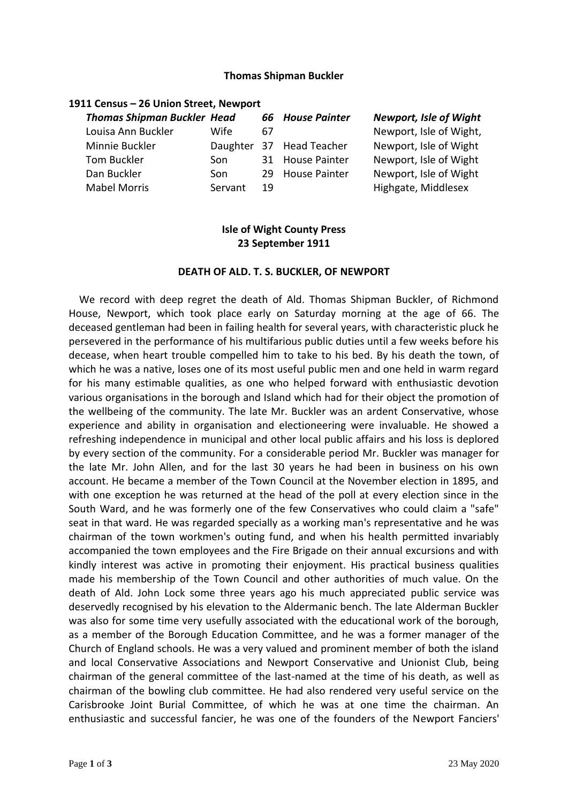## **Thomas Shipman Buckler**

| <u> 11 Census – zo Omon su eel, newport</u> |                                    |         |    |                          |                               |
|---------------------------------------------|------------------------------------|---------|----|--------------------------|-------------------------------|
|                                             | <b>Thomas Shipman Buckler Head</b> |         |    | <b>66 House Painter</b>  | <b>Newport, Isle of Wight</b> |
|                                             | Louisa Ann Buckler                 | Wife    | 67 |                          | Newport, Isle of Wight,       |
|                                             | Minnie Buckler                     |         |    | Daughter 37 Head Teacher | Newport, Isle of Wight        |
|                                             | Tom Buckler                        | Son     |    | 31 House Painter         | Newport, Isle of Wight        |
|                                             | Dan Buckler                        | Son     |    | 29 House Painter         | Newport, Isle of Wight        |
|                                             | <b>Mabel Morris</b>                | Servant | 19 |                          | Highgate, Middlesex           |

## **1911 Census – 26 Union Street, Newport**

## **Isle of Wight County Press 23 September 1911**

## **DEATH OF ALD. T. S. BUCKLER, OF NEWPORT**

 We record with deep regret the death of Ald. Thomas Shipman Buckler, of Richmond House, Newport, which took place early on Saturday morning at the age of 66. The deceased gentleman had been in failing health for several years, with characteristic pluck he persevered in the performance of his multifarious public duties until a few weeks before his decease, when heart trouble compelled him to take to his bed. By his death the town, of which he was a native, loses one of its most useful public men and one held in warm regard for his many estimable qualities, as one who helped forward with enthusiastic devotion various organisations in the borough and Island which had for their object the promotion of the wellbeing of the community. The late Mr. Buckler was an ardent Conservative, whose experience and ability in organisation and electioneering were invaluable. He showed a refreshing independence in municipal and other local public affairs and his loss is deplored by every section of the community. For a considerable period Mr. Buckler was manager for the late Mr. John Allen, and for the last 30 years he had been in business on his own account. He became a member of the Town Council at the November election in 1895, and with one exception he was returned at the head of the poll at every election since in the South Ward, and he was formerly one of the few Conservatives who could claim a "safe" seat in that ward. He was regarded specially as a working man's representative and he was chairman of the town workmen's outing fund, and when his health permitted invariably accompanied the town employees and the Fire Brigade on their annual excursions and with kindly interest was active in promoting their enjoyment. His practical business qualities made his membership of the Town Council and other authorities of much value. On the death of Ald. John Lock some three years ago his much appreciated public service was deservedly recognised by his elevation to the Aldermanic bench. The late Alderman Buckler was also for some time very usefully associated with the educational work of the borough, as a member of the Borough Education Committee, and he was a former manager of the Church of England schools. He was a very valued and prominent member of both the island and local Conservative Associations and Newport Conservative and Unionist Club, being chairman of the general committee of the last-named at the time of his death, as well as chairman of the bowling club committee. He had also rendered very useful service on the Carisbrooke Joint Burial Committee, of which he was at one time the chairman. An enthusiastic and successful fancier, he was one of the founders of the Newport Fanciers'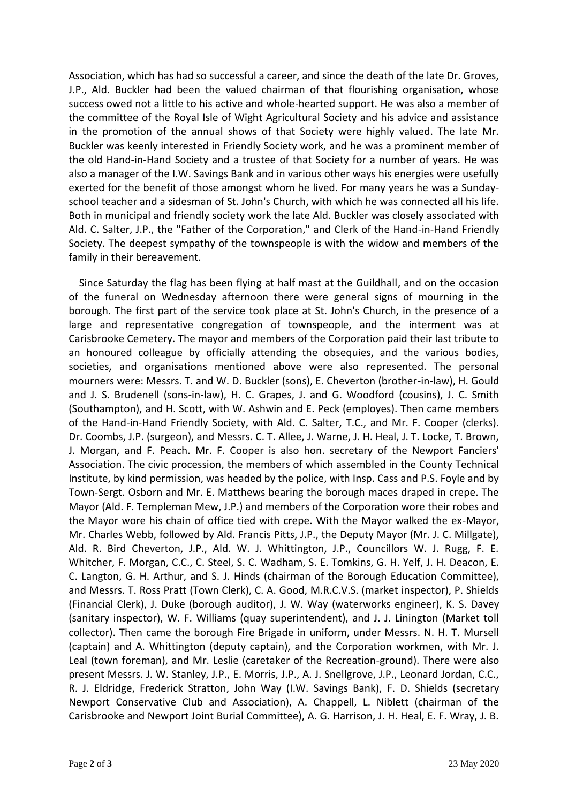Association, which has had so successful a career, and since the death of the late Dr. Groves, J.P., Ald. Buckler had been the valued chairman of that flourishing organisation, whose success owed not a little to his active and whole-hearted support. He was also a member of the committee of the Royal Isle of Wight Agricultural Society and his advice and assistance in the promotion of the annual shows of that Society were highly valued. The late Mr. Buckler was keenly interested in Friendly Society work, and he was a prominent member of the old Hand-in-Hand Society and a trustee of that Society for a number of years. He was also a manager of the I.W. Savings Bank and in various other ways his energies were usefully exerted for the benefit of those amongst whom he lived. For many years he was a Sundayschool teacher and a sidesman of St. John's Church, with which he was connected all his life. Both in municipal and friendly society work the late Ald. Buckler was closely associated with Ald. C. Salter, J.P., the "Father of the Corporation," and Clerk of the Hand-in-Hand Friendly Society. The deepest sympathy of the townspeople is with the widow and members of the family in their bereavement.

 Since Saturday the flag has been flying at half mast at the Guildhall, and on the occasion of the funeral on Wednesday afternoon there were general signs of mourning in the borough. The first part of the service took place at St. John's Church, in the presence of a large and representative congregation of townspeople, and the interment was at Carisbrooke Cemetery. The mayor and members of the Corporation paid their last tribute to an honoured colleague by officially attending the obsequies, and the various bodies, societies, and organisations mentioned above were also represented. The personal mourners were: Messrs. T. and W. D. Buckler (sons), E. Cheverton (brother-in-law), H. Gould and J. S. Brudenell (sons-in-law), H. C. Grapes, J. and G. Woodford (cousins), J. C. Smith (Southampton), and H. Scott, with W. Ashwin and E. Peck (employes). Then came members of the Hand-in-Hand Friendly Society, with Ald. C. Salter, T.C., and Mr. F. Cooper (clerks). Dr. Coombs, J.P. (surgeon), and Messrs. C. T. Allee, J. Warne, J. H. Heal, J. T. Locke, T. Brown, J. Morgan, and F. Peach. Mr. F. Cooper is also hon. secretary of the Newport Fanciers' Association. The civic procession, the members of which assembled in the County Technical Institute, by kind permission, was headed by the police, with Insp. Cass and P.S. Foyle and by Town-Sergt. Osborn and Mr. E. Matthews bearing the borough maces draped in crepe. The Mayor (Ald. F. Templeman Mew, J.P.) and members of the Corporation wore their robes and the Mayor wore his chain of office tied with crepe. With the Mayor walked the ex-Mayor, Mr. Charles Webb, followed by Ald. Francis Pitts, J.P., the Deputy Mayor (Mr. J. C. Millgate), Ald. R. Bird Cheverton, J.P., Ald. W. J. Whittington, J.P., Councillors W. J. Rugg, F. E. Whitcher, F. Morgan, C.C., C. Steel, S. C. Wadham, S. E. Tomkins, G. H. Yelf, J. H. Deacon, E. C. Langton, G. H. Arthur, and S. J. Hinds (chairman of the Borough Education Committee), and Messrs. T. Ross Pratt (Town Clerk), C. A. Good, M.R.C.V.S. (market inspector), P. Shields (Financial Clerk), J. Duke (borough auditor), J. W. Way (waterworks engineer), K. S. Davey (sanitary inspector), W. F. Williams (quay superintendent), and J. J. Linington (Market toll collector). Then came the borough Fire Brigade in uniform, under Messrs. N. H. T. Mursell (captain) and A. Whittington (deputy captain), and the Corporation workmen, with Mr. J. Leal (town foreman), and Mr. Leslie (caretaker of the Recreation-ground). There were also present Messrs. J. W. Stanley, J.P., E. Morris, J.P., A. J. Snellgrove, J.P., Leonard Jordan, C.C., R. J. Eldridge, Frederick Stratton, John Way (I.W. Savings Bank), F. D. Shields (secretary Newport Conservative Club and Association), A. Chappell, L. Niblett (chairman of the Carisbrooke and Newport Joint Burial Committee), A. G. Harrison, J. H. Heal, E. F. Wray, J. B.